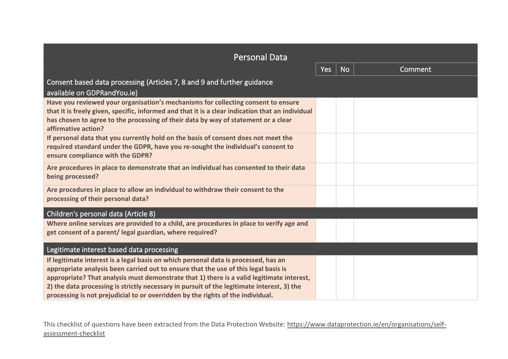| <b>Personal Data</b>                                                                                                                                                                                                                                                                                                                                                                                                                                     |     |           |         |  |
|----------------------------------------------------------------------------------------------------------------------------------------------------------------------------------------------------------------------------------------------------------------------------------------------------------------------------------------------------------------------------------------------------------------------------------------------------------|-----|-----------|---------|--|
|                                                                                                                                                                                                                                                                                                                                                                                                                                                          | Yes | <b>No</b> | Comment |  |
| Consent based data processing (Articles 7, 8 and 9 and further guidance<br>available on GDPRandYou.ie)                                                                                                                                                                                                                                                                                                                                                   |     |           |         |  |
| Have you reviewed your organisation's mechanisms for collecting consent to ensure<br>that it is freely given, specific, informed and that it is a clear indication that an individual<br>has chosen to agree to the processing of their data by way of statement or a clear<br>affirmative action?                                                                                                                                                       |     |           |         |  |
| If personal data that you currently hold on the basis of consent does not meet the<br>required standard under the GDPR, have you re-sought the individual's consent to<br>ensure compliance with the GDPR?                                                                                                                                                                                                                                               |     |           |         |  |
| Are procedures in place to demonstrate that an individual has consented to their data<br>being processed?                                                                                                                                                                                                                                                                                                                                                |     |           |         |  |
| Are procedures in place to allow an individual to withdraw their consent to the<br>processing of their personal data?                                                                                                                                                                                                                                                                                                                                    |     |           |         |  |
| Children's personal data (Article 8)                                                                                                                                                                                                                                                                                                                                                                                                                     |     |           |         |  |
| Where online services are provided to a child, are procedures in place to verify age and<br>get consent of a parent/ legal guardian, where required?                                                                                                                                                                                                                                                                                                     |     |           |         |  |
| Legitimate interest based data processing                                                                                                                                                                                                                                                                                                                                                                                                                |     |           |         |  |
| If legitimate interest is a legal basis on which personal data is processed, has an<br>appropriate analysis been carried out to ensure that the use of this legal basis is<br>appropriate? That analysis must demonstrate that 1) there is a valid legitimate interest,<br>2) the data processing is strictly necessary in pursuit of the legitimate interest, 3) the<br>processing is not prejudicial to or overridden by the rights of the individual. |     |           |         |  |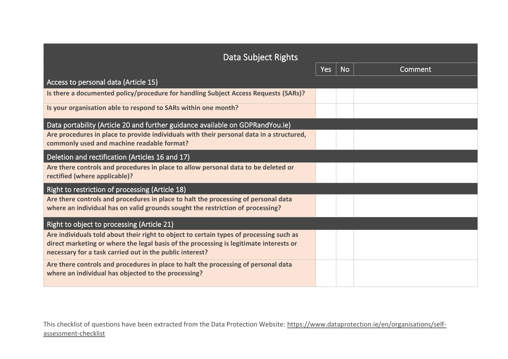| Data Subject Rights                                                                                                                                                                                                                           |     |           |         |
|-----------------------------------------------------------------------------------------------------------------------------------------------------------------------------------------------------------------------------------------------|-----|-----------|---------|
|                                                                                                                                                                                                                                               | Yes | <b>No</b> | Comment |
| Access to personal data (Article 15)                                                                                                                                                                                                          |     |           |         |
| Is there a documented policy/procedure for handling Subject Access Requests (SARs)?                                                                                                                                                           |     |           |         |
| Is your organisation able to respond to SARs within one month?                                                                                                                                                                                |     |           |         |
| Data portability (Article 20 and further guidance available on GDPRandYou.ie)                                                                                                                                                                 |     |           |         |
| Are procedures in place to provide individuals with their personal data in a structured,<br>commonly used and machine readable format?                                                                                                        |     |           |         |
| Deletion and rectification (Articles 16 and 17)                                                                                                                                                                                               |     |           |         |
| Are there controls and procedures in place to allow personal data to be deleted or<br>rectified (where applicable)?                                                                                                                           |     |           |         |
| Right to restriction of processing (Article 18)                                                                                                                                                                                               |     |           |         |
| Are there controls and procedures in place to halt the processing of personal data<br>where an individual has on valid grounds sought the restriction of processing?                                                                          |     |           |         |
| Right to object to processing (Article 21)                                                                                                                                                                                                    |     |           |         |
| Are individuals told about their right to object to certain types of processing such as<br>direct marketing or where the legal basis of the processing is legitimate interests or<br>necessary for a task carried out in the public interest? |     |           |         |
| Are there controls and procedures in place to halt the processing of personal data<br>where an individual has objected to the processing?                                                                                                     |     |           |         |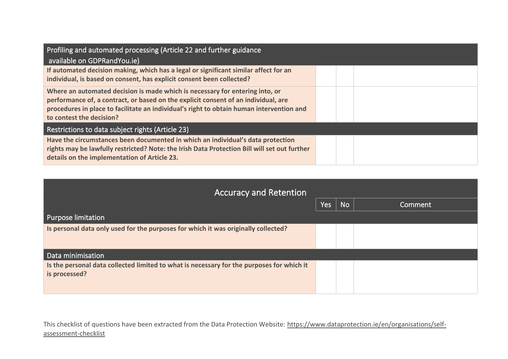| Profiling and automated processing (Article 22 and further guidance                                                  |  |  |
|----------------------------------------------------------------------------------------------------------------------|--|--|
| available on GDPRandYou.ie)                                                                                          |  |  |
| If automated decision making, which has a legal or significant similar affect for an                                 |  |  |
| individual, is based on consent, has explicit consent been collected?                                                |  |  |
| Where an automated decision is made which is necessary for entering into, or                                         |  |  |
| performance of, a contract, or based on the explicit consent of an individual, are                                   |  |  |
| procedures in place to facilitate an individual's right to obtain human intervention and<br>to contest the decision? |  |  |
|                                                                                                                      |  |  |
| Restrictions to data subject rights (Article 23)                                                                     |  |  |
| Have the circumstances been documented in which an individual's data protection                                      |  |  |
| rights may be lawfully restricted? Note: the Irish Data Protection Bill will set out further                         |  |  |
| details on the implementation of Article 23.                                                                         |  |  |

| <b>Accuracy and Retention</b>                                                                              |            |           |         |
|------------------------------------------------------------------------------------------------------------|------------|-----------|---------|
|                                                                                                            | <b>Yes</b> | <b>No</b> | Comment |
| Purpose limitation                                                                                         |            |           |         |
| Is personal data only used for the purposes for which it was originally collected?                         |            |           |         |
| Data minimisation                                                                                          |            |           |         |
| Is the personal data collected limited to what is necessary for the purposes for which it<br>is processed? |            |           |         |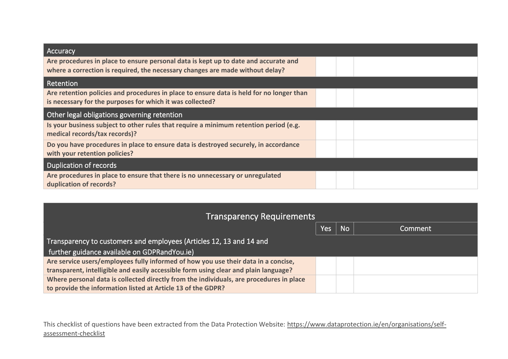| Accuracy                                                                                                                                                             |  |  |
|----------------------------------------------------------------------------------------------------------------------------------------------------------------------|--|--|
| Are procedures in place to ensure personal data is kept up to date and accurate and<br>where a correction is required, the necessary changes are made without delay? |  |  |
| Retention                                                                                                                                                            |  |  |
| Are retention policies and procedures in place to ensure data is held for no longer than<br>is necessary for the purposes for which it was collected?                |  |  |
| Other legal obligations governing retention                                                                                                                          |  |  |
| Is your business subject to other rules that require a minimum retention period (e.g.<br>medical records/tax records)?                                               |  |  |
| Do you have procedures in place to ensure data is destroyed securely, in accordance<br>with your retention policies?                                                 |  |  |
| <b>Duplication of records</b>                                                                                                                                        |  |  |
| Are procedures in place to ensure that there is no unnecessary or unregulated<br>duplication of records?                                                             |  |  |

| <b>Transparency Requirements</b>                                                        |     |           |         |  |
|-----------------------------------------------------------------------------------------|-----|-----------|---------|--|
|                                                                                         | Yes | <b>No</b> | Comment |  |
| Transparency to customers and employees (Articles 12, 13 and 14 and                     |     |           |         |  |
| further guidance available on GDPRandYou.ie)                                            |     |           |         |  |
| Are service users/employees fully informed of how you use their data in a concise,      |     |           |         |  |
| transparent, intelligible and easily accessible form using clear and plain language?    |     |           |         |  |
| Where personal data is collected directly from the individuals, are procedures in place |     |           |         |  |
| to provide the information listed at Article 13 of the GDPR?                            |     |           |         |  |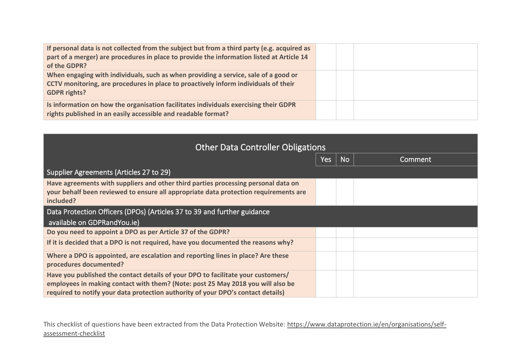| If personal data is not collected from the subject but from a third party (e.g. acquired as<br>part of a merger) are procedures in place to provide the information listed at Article 14<br>of the GDPR? |  |  |
|----------------------------------------------------------------------------------------------------------------------------------------------------------------------------------------------------------|--|--|
| When engaging with individuals, such as when providing a service, sale of a good or<br>CCTV monitoring, are procedures in place to proactively inform individuals of their<br><b>GDPR rights?</b>        |  |  |
| Is information on how the organisation facilitates individuals exercising their GDPR<br>rights published in an easily accessible and readable format?                                                    |  |  |

| <b>Other Data Controller Obligations</b>                                                                                                                                                                                                                |     |           |         |  |  |
|---------------------------------------------------------------------------------------------------------------------------------------------------------------------------------------------------------------------------------------------------------|-----|-----------|---------|--|--|
|                                                                                                                                                                                                                                                         | Yes | <b>No</b> | Comment |  |  |
| Supplier Agreements (Articles 27 to 29)                                                                                                                                                                                                                 |     |           |         |  |  |
| Have agreements with suppliers and other third parties processing personal data on<br>your behalf been reviewed to ensure all appropriate data protection requirements are<br>included?                                                                 |     |           |         |  |  |
| Data Protection Officers (DPOs) (Articles 37 to 39 and further guidance<br>available on GDPRandYou.ie)                                                                                                                                                  |     |           |         |  |  |
| Do you need to appoint a DPO as per Article 37 of the GDPR?                                                                                                                                                                                             |     |           |         |  |  |
| If it is decided that a DPO is not required, have you documented the reasons why?                                                                                                                                                                       |     |           |         |  |  |
| Where a DPO is appointed, are escalation and reporting lines in place? Are these<br>procedures documented?                                                                                                                                              |     |           |         |  |  |
| Have you published the contact details of your DPO to facilitate your customers/<br>employees in making contact with them? (Note: post 25 May 2018 you will also be<br>required to notify your data protection authority of your DPO's contact details) |     |           |         |  |  |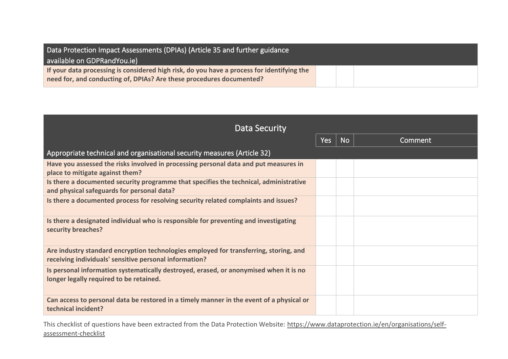| Data Protection Impact Assessments (DPIAs) (Article 35 and further guidance                |  |  |
|--------------------------------------------------------------------------------------------|--|--|
| available on GDPRandYou.ie)                                                                |  |  |
| If your data processing is considered high risk, do you have a process for identifying the |  |  |
| need for, and conducting of, DPIAs? Are these procedures documented?                       |  |  |

| Data Security                                                                                                                                   |     |           |                |  |
|-------------------------------------------------------------------------------------------------------------------------------------------------|-----|-----------|----------------|--|
|                                                                                                                                                 | Yes | <b>No</b> | <b>Comment</b> |  |
| Appropriate technical and organisational security measures (Article 32)                                                                         |     |           |                |  |
| Have you assessed the risks involved in processing personal data and put measures in<br>place to mitigate against them?                         |     |           |                |  |
| Is there a documented security programme that specifies the technical, administrative<br>and physical safeguards for personal data?             |     |           |                |  |
| Is there a documented process for resolving security related complaints and issues?                                                             |     |           |                |  |
| Is there a designated individual who is responsible for preventing and investigating<br>security breaches?                                      |     |           |                |  |
| Are industry standard encryption technologies employed for transferring, storing, and<br>receiving individuals' sensitive personal information? |     |           |                |  |
| Is personal information systematically destroyed, erased, or anonymised when it is no<br>longer legally required to be retained.                |     |           |                |  |
| Can access to personal data be restored in a timely manner in the event of a physical or<br>technical incident?                                 |     |           |                |  |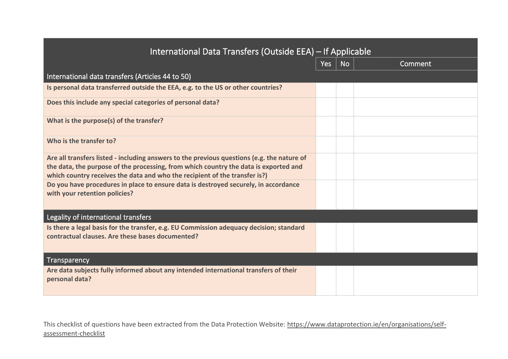| International Data Transfers (Outside EEA) – If Applicable                                                                                                                                                                                                       |     |           |         |  |  |
|------------------------------------------------------------------------------------------------------------------------------------------------------------------------------------------------------------------------------------------------------------------|-----|-----------|---------|--|--|
|                                                                                                                                                                                                                                                                  | Yes | <b>No</b> | Comment |  |  |
| International data transfers (Articles 44 to 50)                                                                                                                                                                                                                 |     |           |         |  |  |
| Is personal data transferred outside the EEA, e.g. to the US or other countries?                                                                                                                                                                                 |     |           |         |  |  |
| Does this include any special categories of personal data?                                                                                                                                                                                                       |     |           |         |  |  |
| What is the purpose(s) of the transfer?                                                                                                                                                                                                                          |     |           |         |  |  |
| Who is the transfer to?                                                                                                                                                                                                                                          |     |           |         |  |  |
| Are all transfers listed - including answers to the previous questions (e.g. the nature of<br>the data, the purpose of the processing, from which country the data is exported and<br>which country receives the data and who the recipient of the transfer is?) |     |           |         |  |  |
| Do you have procedures in place to ensure data is destroyed securely, in accordance<br>with your retention policies?                                                                                                                                             |     |           |         |  |  |
| Legality of international transfers                                                                                                                                                                                                                              |     |           |         |  |  |
| Is there a legal basis for the transfer, e.g. EU Commission adequacy decision; standard<br>contractual clauses. Are these bases documented?                                                                                                                      |     |           |         |  |  |
| <b>Transparency</b>                                                                                                                                                                                                                                              |     |           |         |  |  |
| Are data subjects fully informed about any intended international transfers of their<br>personal data?                                                                                                                                                           |     |           |         |  |  |